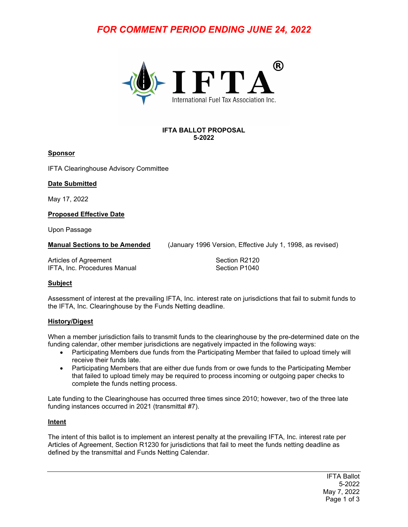# *FOR COMMENT PERIOD ENDING JUNE 24, 2022*



#### **IFTA BALLOT PROPOSAL 5-2022**

#### **Sponsor**

IFTA Clearinghouse Advisory Committee

#### **Date Submitted**

May 17, 2022

**Proposed Effective Date**

Upon Passage

**Manual Sections to be Amended** (January 1996 Version, Effective July 1, 1998, as revised)

Articles of Agreement Section R2120 IFTA, Inc. Procedures Manual

# **Subject**

Assessment of interest at the prevailing IFTA, Inc. interest rate on jurisdictions that fail to submit funds to the IFTA, Inc. Clearinghouse by the Funds Netting deadline.

# **History/Digest**

When a member jurisdiction fails to transmit funds to the clearinghouse by the pre-determined date on the funding calendar, other member jurisdictions are negatively impacted in the following ways:

- Participating Members due funds from the Participating Member that failed to upload timely will receive their funds late.
- Participating Members that are either due funds from or owe funds to the Participating Member that failed to upload timely may be required to process incoming or outgoing paper checks to complete the funds netting process.

Late funding to the Clearinghouse has occurred three times since 2010; however, two of the three late funding instances occurred in 2021 (transmittal #7).

# **Intent**

The intent of this ballot is to implement an interest penalty at the prevailing IFTA, Inc. interest rate per Articles of Agreement, Section R1230 for jurisdictions that fail to meet the funds netting deadline as defined by the transmittal and Funds Netting Calendar.

> IFTA Ballot 5-2022 May 7, 2022 Page 1 of 3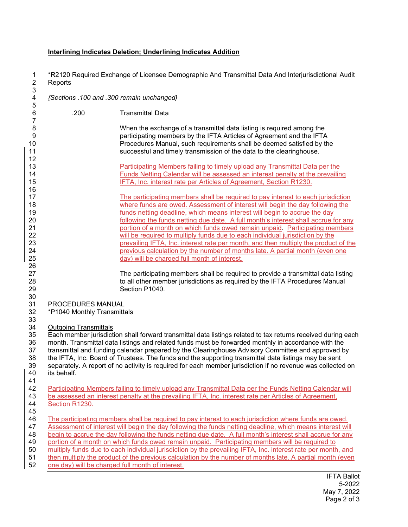#### **Interlining Indicates Deletion; Underlining Indicates Addition**

1 \*R2120 Required Exchange of Licensee Demographic And Transmittal Data And Interjurisdictional Audit **Reports** 

3 4 *{Sections .100 and .300 remain unchanged}*  5 6 .200 Transmittal Data 7 8 When the exchange of a transmittal data listing is required among the 9 participating members by the IFTA Articles of Agreement and the IFTA 10 Procedures Manual, such requirements shall be deemed satisfied by the 11 successful and timely transmission of the data to the clearinghouse. 12 13 Participating Members failing to timely upload any Transmittal Data per the 14 Funds Netting Calendar will be assessed an interest penalty at the prevailing 15 IFTA, Inc. interest rate per Articles of Agreement, Section R1230. 16 17 The participating members shall be required to pay interest to each jurisdiction 18 where funds are owed. Assessment of interest will begin the day following the 19 funds netting deadline, which means interest will begin to accrue the day 20 20 following the funds netting due date. A full month's interest shall accrue for any<br>21 contract portion of a month on which funds owed remain unpaid. Participating members portion of a month on which funds owed remain unpaid. Participating members 22 will be required to multiply funds due to each individual jurisdiction by the 23 prevailing IFTA, Inc. interest rate per month, and then multiply the product of the 24 previous calculation by the number of months late. A partial month (even one 25 day) will be charged full month of interest. 26 27 The participating members shall be required to provide a transmittal data listing 28 to all other member jurisdictions as required by the IFTA Procedures Manual 29 Section P1040. 30 31 PROCEDURES MANUAL 32 \*P1040 Monthly Transmittals 33 34 Outgoing Transmittals 35 Each member jurisdiction shall forward transmittal data listings related to tax returns received during each 36 month. Transmittal data listings and related funds must be forwarded monthly in accordance with the 37 transmittal and funding calendar prepared by the Clearinghouse Advisory Committee and approved by 38 the IFTA, Inc. Board of Trustees. The funds and the supporting transmittal data listings may be sent 39 separately. A report of no activity is required for each member jurisdiction if no revenue was collected on its behalf. 41 42 Participating Members failing to timely upload any Transmittal Data per the Funds Netting Calendar will 43 be assessed an interest penalty at the prevailing IFTA, Inc. interest rate per Articles of Agreement, be assessed an interest penalty at the prevailing IFTA, Inc. interest rate per Articles of Agreement, 44 Section R1230. 45 46 The participating members shall be required to pay interest to each jurisdiction where funds are owed. 47 Assessment of interest will begin the day following the funds netting deadline, which means interest will 48 begin to accrue the day following the funds netting due date. A full month's interest shall accrue for any 49 portion of a month on which funds owed remain unpaid. Participating members will be required to 50 multiply funds due to each individual jurisdiction by the prevailing IFTA, Inc. interest rate per month, and 51 then multiply the product of the previous calculation by the number of months late. A partial month (even 52 one day) will be charged full month of interest.